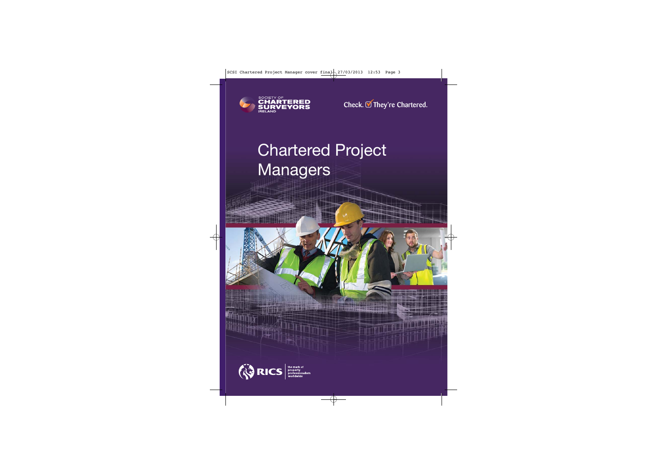

Check. **■** They're Chartered.

# Chartered Project Managers

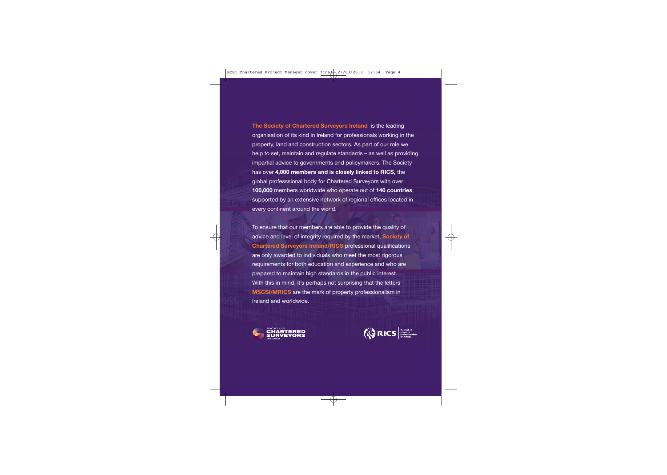**The Society of Chartered Surveyors Ireland** is the leading organisation of its kind in Ireland for professionals working in the property, land and construction sectors. As part of our role we help to set, maintain and regulate standards – as well as providing impartial advice to governments and policymakers. The Society has over **4,000 members and is closely linked to RICS,** the global professsional body for Chartered Surveyors with over **100,000** members worldwide who operate out of **146 countries**, supported by an extensive network of regional offices located in every continent around the world.

To ensure that our members are able to provide the quality of advice and level of integrity required by the market, **Society of Chartered Surveyors Ireland/RICS** professional qualifications are only awarded to individuals who meet the most rigorous requirements for both education and experience and who are prepared to maintain high standards in the public interest. With this in mind, it's perhaps not surprising that the letters **MSCSI/MRICS** are the mark of property professionalism in Ireland and worldwide.



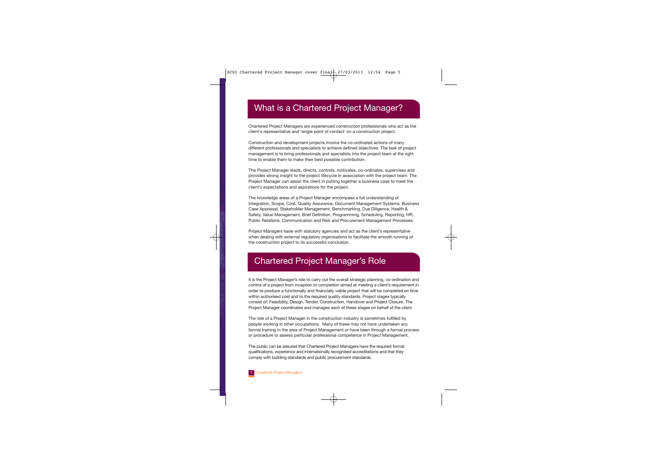### What is a Chartered Project Manager?

Chartered Project Managers are experienced construction professionals who act as the client's representative and 'single point of contact' on a construction project.

Construction and development projects involve the co-ordinated actions of many different professionals and specialists to achieve defined objectives. The task of project management is to bring professionals and specialists into the project team at the right time to enable them to make their best possible contribution.

The Project Manager leads, directs, controls, motivates, co-ordinates, supervises and provides strong insight to the project lifecycle in association with the project team. The Project Manager can assist the client in putting together a business case to meet the client's expectations and aspirations for the project.

The knowledge areas of a Project Manager encompass a full understanding of Integration, Scope, Cost, Quality Assurance, Document Management Systems, Business Case Appraisal, Stakeholder Management, Benchmarking, Due Diligence, Health & Safety, Value Management, Brief Definition, Programming, Scheduling, Reporting, HR, Public Relations, Communication and Risk and Procurement Management Processes.

Project Managers liaise with statutory agencies and act as the client's representative when dealing with external regulatory organisations to facilitate the smooth running of the construction project to its successful conclusion.

### Chartered Project Manager's Role

It is the Project Manager's role to carry out the overall strategic planning, co-ordination and control of a project from inception to completion aimed at meeting a client's requirement in order to produce a functionally and financially viable project that will be completed on time within authorised cost and to the required quality standards. Project stages typically consist of: Feasibility, Design, Tender, Construction, Handover and Project Closure. The Project Manager coordinates and manages each of these stages on behalf of the client.

The role of a Project Manager in the construction industry is sometimes fulfilled by people working in other occupations. Many of these may not have undertaken any formal training in the area of Project Management or have been through a formal process or procedure to assess particular professional competence in Project Management.

The public can be assured that Chartered Project Managers have the required formal qualifications, experience and internationally recognised accreditations and that they comply with building standards and public procurement standards.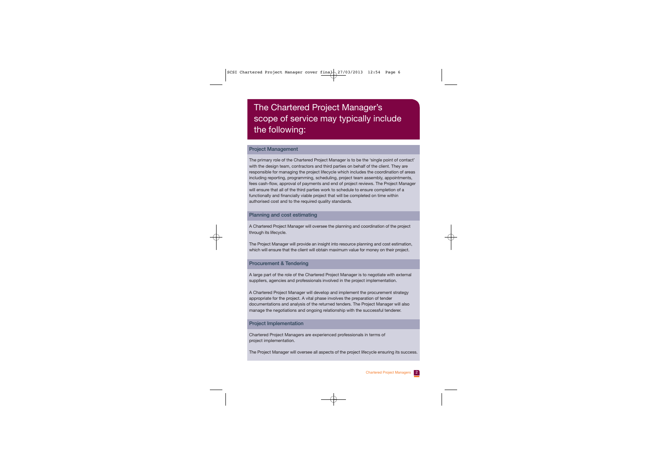### The Chartered Project Manager's scope of service may typically include the following:

#### **Project Management**

The primary role of the Chartered Project Manager is to be the 'single point of contact' with the design team, contractors and third parties on behalf of the client. They are responsible for managing the project lifecycle which includes the coordination of areas including reporting, programming, scheduling, project team assembly, appointments, fees cash-flow, approval of payments and end of project reviews. The Project Manager will ensure that all of the third parties work to schedule to ensure completion of a functionally and financially viable project that will be completed on time within authorised cost and to the required quality standards.

#### **Planning and cost estimating**

A Chartered Project Manager will oversee the planning and coordination of the project through its lifecycle.

The Project Manager will provide an insight into resource planning and cost estimation, which will ensure that the client will obtain maximum value for money on their project.

#### **Procurement & Tendering**

A large part of the role of the Chartered Project Manager is to negotiate with external suppliers, agencies and professionals involved in the project implementation.

A Chartered Project Manager will develop and implement the procurement strategy appropriate for the project. A vital phase involves the preparation of tender documentations and analysis of the returned tenders. The Project Manager will also manage the negotiations and ongoing relationship with the successful tenderer.

#### **Project Implementation**

Chartered Project Managers are experienced professionals in terms of project implementation.

The Project Manager will oversee all aspects of the project lifecycle ensuring its success.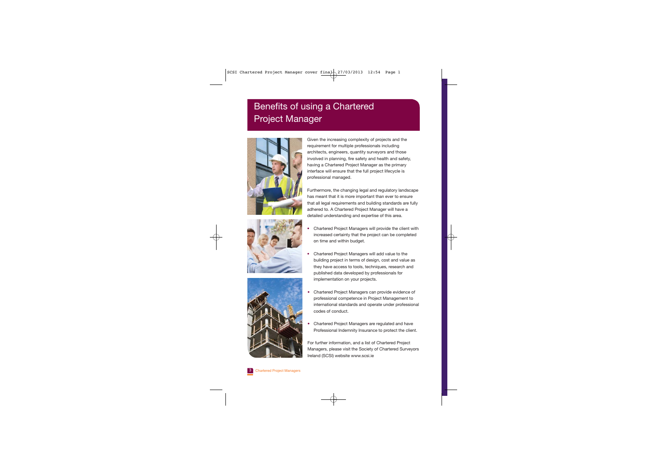## Benefits of using a Chartered Project Manager





Given the increasing complexity of projects and the requirement for multiple professionals including architects, engineers, quantity surveyors and those involved in planning, fire safety and health and safety, having a Chartered Project Manager as the primary interface will ensure that the full project lifecycle is professional managed.

Furthermore, the changing legal and regulatory landscape has meant that it is more important than ever to ensure that all legal requirements and building standards are fully adhered to. A Chartered Project Manager will have a detailed understanding and expertise of this area.

- • Chartered Project Managers will provide the client with increased certainty that the project can be completed on time and within budget.
- • Chartered Project Managers will add value to the building project in terms of design, cost and value as they have access to tools, techniques, research and published data developed by professionals for implementation on your projects.
- • Chartered Project Managers can provide evidence of professional competence in Project Management to international standards and operate under professional codes of conduct.
- • Chartered Project Managers are regulated and have Professional Indemnity Insurance to protect the client.

For further information, and a list of Chartered Project Managers, please visit the Society of Chartered Surveyors Ireland (SCSI) website www.scsi.ie